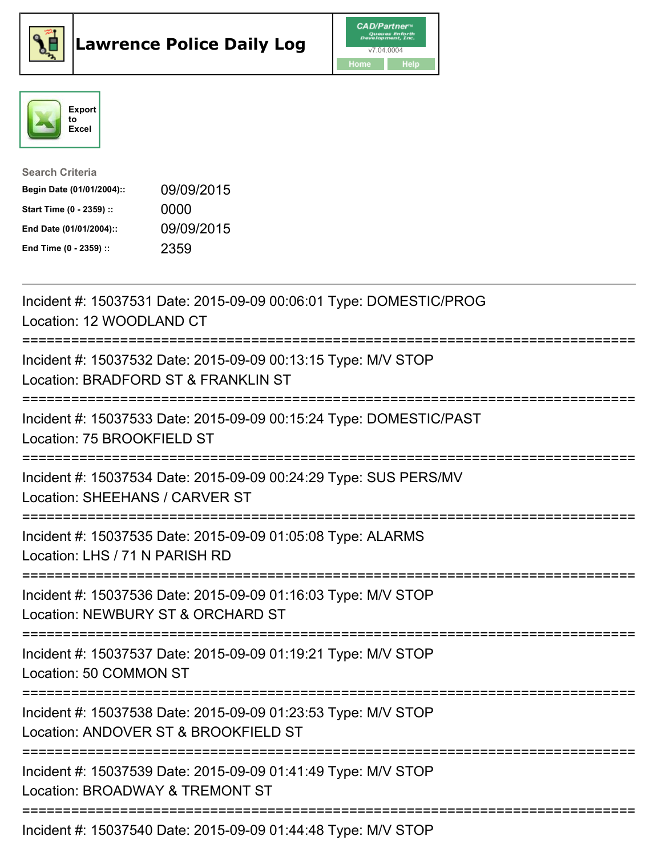





| <b>Search Criteria</b>    |            |
|---------------------------|------------|
| Begin Date (01/01/2004):: | 09/09/2015 |
| Start Time (0 - 2359) ::  | 0000       |
| End Date (01/01/2004)::   | 09/09/2015 |
| End Time (0 - 2359) ::    | 2359       |

| Incident #: 15037531 Date: 2015-09-09 00:06:01 Type: DOMESTIC/PROG<br>Location: 12 WOODLAND CT<br>-----------                          |
|----------------------------------------------------------------------------------------------------------------------------------------|
| Incident #: 15037532 Date: 2015-09-09 00:13:15 Type: M/V STOP<br>Location: BRADFORD ST & FRANKLIN ST<br>=======================        |
| Incident #: 15037533 Date: 2015-09-09 00:15:24 Type: DOMESTIC/PAST<br>Location: 75 BROOKFIELD ST<br>:============================      |
| Incident #: 15037534 Date: 2015-09-09 00:24:29 Type: SUS PERS/MV<br>Location: SHEEHANS / CARVER ST                                     |
| Incident #: 15037535 Date: 2015-09-09 01:05:08 Type: ALARMS<br>Location: LHS / 71 N PARISH RD                                          |
| Incident #: 15037536 Date: 2015-09-09 01:16:03 Type: M/V STOP<br>Location: NEWBURY ST & ORCHARD ST<br>============================     |
| Incident #: 15037537 Date: 2015-09-09 01:19:21 Type: M/V STOP<br>Location: 50 COMMON ST                                                |
| Incident #: 15037538 Date: 2015-09-09 01:23:53 Type: M/V STOP<br>Location: ANDOVER ST & BROOKFIELD ST<br>============================= |
| Incident #: 15037539 Date: 2015-09-09 01:41:49 Type: M/V STOP<br>Location: BROADWAY & TREMONT ST                                       |
| Incident #: 15037540 Date: 2015-09-09 01:44:48 Type: M/V STOP                                                                          |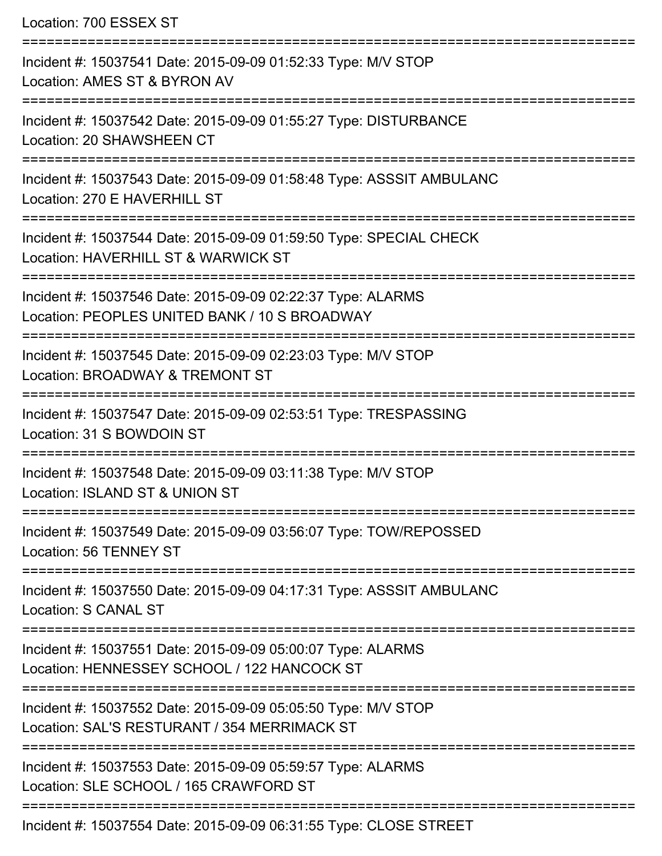Location: 700 ESSEX ST

=========================================================================== Incident #: 15037541 Date: 2015-09-09 01:52:33 Type: M/V STOP Location: AMES ST & BYRON AV =========================================================================== Incident #: 15037542 Date: 2015-09-09 01:55:27 Type: DISTURBANCE Location: 20 SHAWSHEEN CT =========================================================================== Incident #: 15037543 Date: 2015-09-09 01:58:48 Type: ASSSIT AMBULANC Location: 270 E HAVERHILL ST =========================================================================== Incident #: 15037544 Date: 2015-09-09 01:59:50 Type: SPECIAL CHECK Location: HAVERHILL ST & WARWICK ST =========================================================================== Incident #: 15037546 Date: 2015-09-09 02:22:37 Type: ALARMS Location: PEOPLES UNITED BANK / 10 S BROADWAY =========================================================================== Incident #: 15037545 Date: 2015-09-09 02:23:03 Type: M/V STOP Location: BROADWAY & TREMONT ST =========================================================================== Incident #: 15037547 Date: 2015-09-09 02:53:51 Type: TRESPASSING Location: 31 S BOWDOIN ST =========================================================================== Incident #: 15037548 Date: 2015-09-09 03:11:38 Type: M/V STOP Location: ISLAND ST & UNION ST =========================================================================== Incident #: 15037549 Date: 2015-09-09 03:56:07 Type: TOW/REPOSSED Location: 56 TENNEY ST =========================================================================== Incident #: 15037550 Date: 2015-09-09 04:17:31 Type: ASSSIT AMBULANC Location: S CANAL ST =========================================================================== Incident #: 15037551 Date: 2015-09-09 05:00:07 Type: ALARMS Location: HENNESSEY SCHOOL / 122 HANCOCK ST =========================================================================== Incident #: 15037552 Date: 2015-09-09 05:05:50 Type: M/V STOP Location: SAL'S RESTURANT / 354 MERRIMACK ST =========================================================================== Incident #: 15037553 Date: 2015-09-09 05:59:57 Type: ALARMS Location: SLE SCHOOL / 165 CRAWFORD ST =========================================================================== Incident #: 15037554 Date: 2015-09-09 06:31:55 Type: CLOSE STREET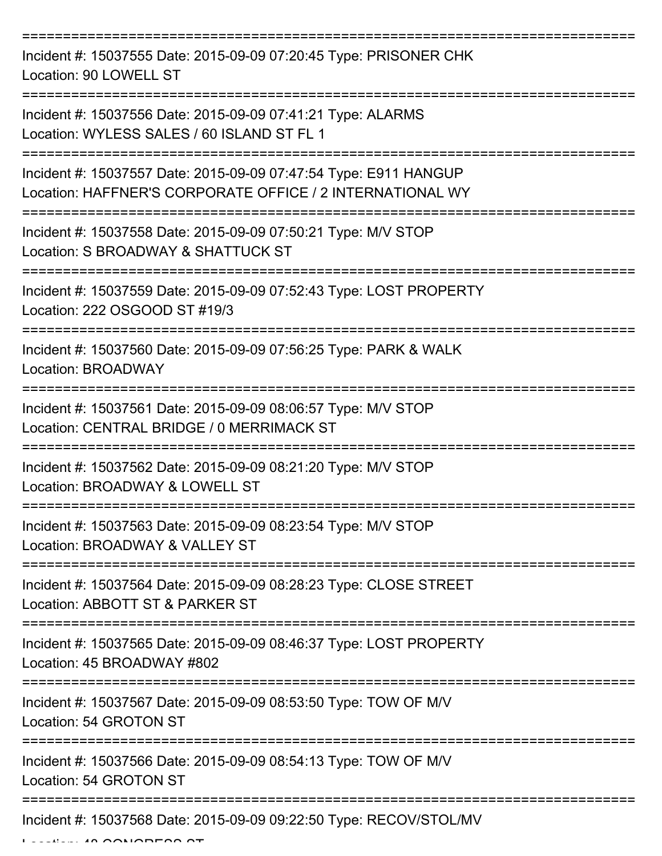=========================================================================== Incident #: 15037555 Date: 2015-09-09 07:20:45 Type: PRISONER CHK Location: 90 LOWELL ST =========================================================================== Incident #: 15037556 Date: 2015-09-09 07:41:21 Type: ALARMS Location: WYLESS SALES / 60 ISLAND ST FL 1 =========================================================================== Incident #: 15037557 Date: 2015-09-09 07:47:54 Type: E911 HANGUP Location: HAFFNER'S CORPORATE OFFICE / 2 INTERNATIONAL WY =========================================================================== Incident #: 15037558 Date: 2015-09-09 07:50:21 Type: M/V STOP Location: S BROADWAY & SHATTUCK ST =========================================================================== Incident #: 15037559 Date: 2015-09-09 07:52:43 Type: LOST PROPERTY Location: 222 OSGOOD ST #19/3 =========================================================================== Incident #: 15037560 Date: 2015-09-09 07:56:25 Type: PARK & WALK Location: BROADWAY =========================================================================== Incident #: 15037561 Date: 2015-09-09 08:06:57 Type: M/V STOP Location: CENTRAL BRIDGE / 0 MERRIMACK ST =========================================================================== Incident #: 15037562 Date: 2015-09-09 08:21:20 Type: M/V STOP Location: BROADWAY & LOWELL ST =========================================================================== Incident #: 15037563 Date: 2015-09-09 08:23:54 Type: M/V STOP Location: BROADWAY & VALLEY ST =========================================================================== Incident #: 15037564 Date: 2015-09-09 08:28:23 Type: CLOSE STREET Location: ABBOTT ST & PARKER ST =========================================================================== Incident #: 15037565 Date: 2015-09-09 08:46:37 Type: LOST PROPERTY Location: 45 BROADWAY #802 =========================================================================== Incident #: 15037567 Date: 2015-09-09 08:53:50 Type: TOW OF M/V Location: 54 GROTON ST =========================================================================== Incident #: 15037566 Date: 2015-09-09 08:54:13 Type: TOW OF M/V Location: 54 GROTON ST =========================================================================== Incident #: 15037568 Date: 2015-09-09 09:22:50 Type: RECOV/STOL/MV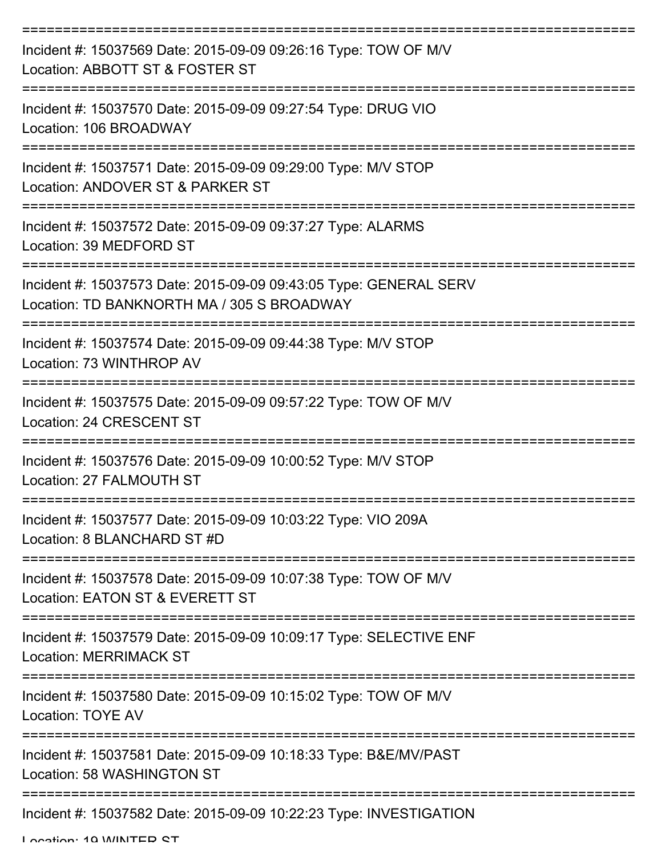| Incident #: 15037569 Date: 2015-09-09 09:26:16 Type: TOW OF M/V<br>Location: ABBOTT ST & FOSTER ST              |
|-----------------------------------------------------------------------------------------------------------------|
| Incident #: 15037570 Date: 2015-09-09 09:27:54 Type: DRUG VIO<br>Location: 106 BROADWAY                         |
| Incident #: 15037571 Date: 2015-09-09 09:29:00 Type: M/V STOP<br>Location: ANDOVER ST & PARKER ST               |
| Incident #: 15037572 Date: 2015-09-09 09:37:27 Type: ALARMS<br>Location: 39 MEDFORD ST                          |
| Incident #: 15037573 Date: 2015-09-09 09:43:05 Type: GENERAL SERV<br>Location: TD BANKNORTH MA / 305 S BROADWAY |
| Incident #: 15037574 Date: 2015-09-09 09:44:38 Type: M/V STOP<br>Location: 73 WINTHROP AV                       |
| Incident #: 15037575 Date: 2015-09-09 09:57:22 Type: TOW OF M/V<br>Location: 24 CRESCENT ST                     |
| Incident #: 15037576 Date: 2015-09-09 10:00:52 Type: M/V STOP<br>Location: 27 FALMOUTH ST                       |
| Incident #: 15037577 Date: 2015-09-09 10:03:22 Type: VIO 209A<br>Location: 8 BLANCHARD ST #D                    |
| Incident #: 15037578 Date: 2015-09-09 10:07:38 Type: TOW OF M/V<br>Location: EATON ST & EVERETT ST              |
| Incident #: 15037579 Date: 2015-09-09 10:09:17 Type: SELECTIVE ENF<br><b>Location: MERRIMACK ST</b>             |
| Incident #: 15037580 Date: 2015-09-09 10:15:02 Type: TOW OF M/V<br><b>Location: TOYE AV</b>                     |
| Incident #: 15037581 Date: 2015-09-09 10:18:33 Type: B&E/MV/PAST<br>Location: 58 WASHINGTON ST                  |
| Incident #: 15037582 Date: 2015-09-09 10:22:23 Type: INVESTIGATION                                              |

Location: 10 WINTED CT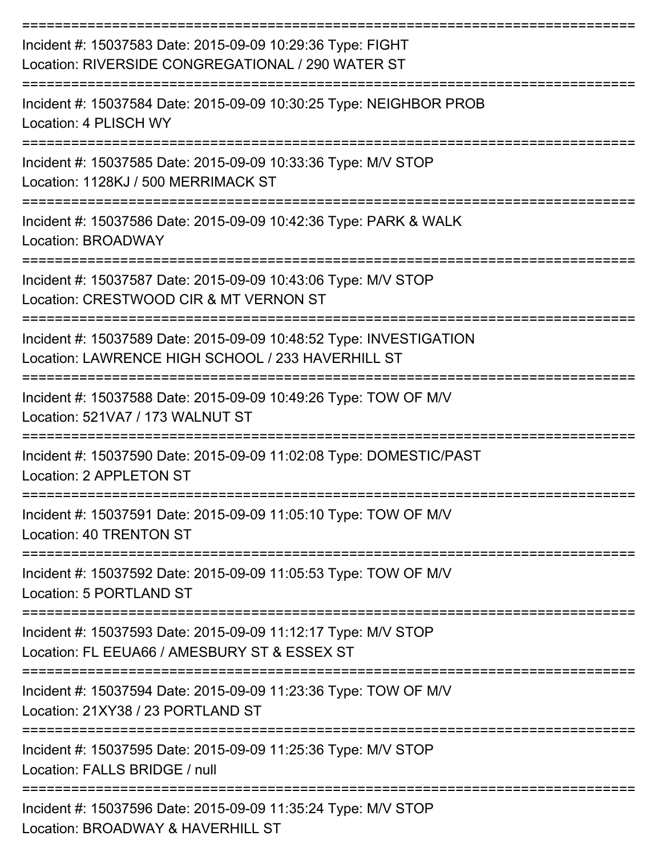| Incident #: 15037583 Date: 2015-09-09 10:29:36 Type: FIGHT<br>Location: RIVERSIDE CONGREGATIONAL / 290 WATER ST                |
|--------------------------------------------------------------------------------------------------------------------------------|
| Incident #: 15037584 Date: 2015-09-09 10:30:25 Type: NEIGHBOR PROB<br>Location: 4 PLISCH WY<br>-----------------               |
| Incident #: 15037585 Date: 2015-09-09 10:33:36 Type: M/V STOP<br>Location: 1128KJ / 500 MERRIMACK ST                           |
| Incident #: 15037586 Date: 2015-09-09 10:42:36 Type: PARK & WALK<br>Location: BROADWAY                                         |
| -------------------<br>Incident #: 15037587 Date: 2015-09-09 10:43:06 Type: M/V STOP<br>Location: CRESTWOOD CIR & MT VERNON ST |
| Incident #: 15037589 Date: 2015-09-09 10:48:52 Type: INVESTIGATION<br>Location: LAWRENCE HIGH SCHOOL / 233 HAVERHILL ST        |
| Incident #: 15037588 Date: 2015-09-09 10:49:26 Type: TOW OF M/V<br>Location: 521VA7 / 173 WALNUT ST                            |
| Incident #: 15037590 Date: 2015-09-09 11:02:08 Type: DOMESTIC/PAST<br>Location: 2 APPLETON ST                                  |
| Incident #: 15037591 Date: 2015-09-09 11:05:10 Type: TOW OF M/V<br>Location: 40 TRENTON ST                                     |
| Incident #: 15037592 Date: 2015-09-09 11:05:53 Type: TOW OF M/V<br>Location: 5 PORTLAND ST                                     |
| Incident #: 15037593 Date: 2015-09-09 11:12:17 Type: M/V STOP<br>Location: FL EEUA66 / AMESBURY ST & ESSEX ST                  |
| Incident #: 15037594 Date: 2015-09-09 11:23:36 Type: TOW OF M/V<br>Location: 21XY38 / 23 PORTLAND ST                           |
| Incident #: 15037595 Date: 2015-09-09 11:25:36 Type: M/V STOP<br>Location: FALLS BRIDGE / null                                 |
| Incident #: 15037596 Date: 2015-09-09 11:35:24 Type: M/V STOP<br>Location: BROADWAY & HAVERHILL ST                             |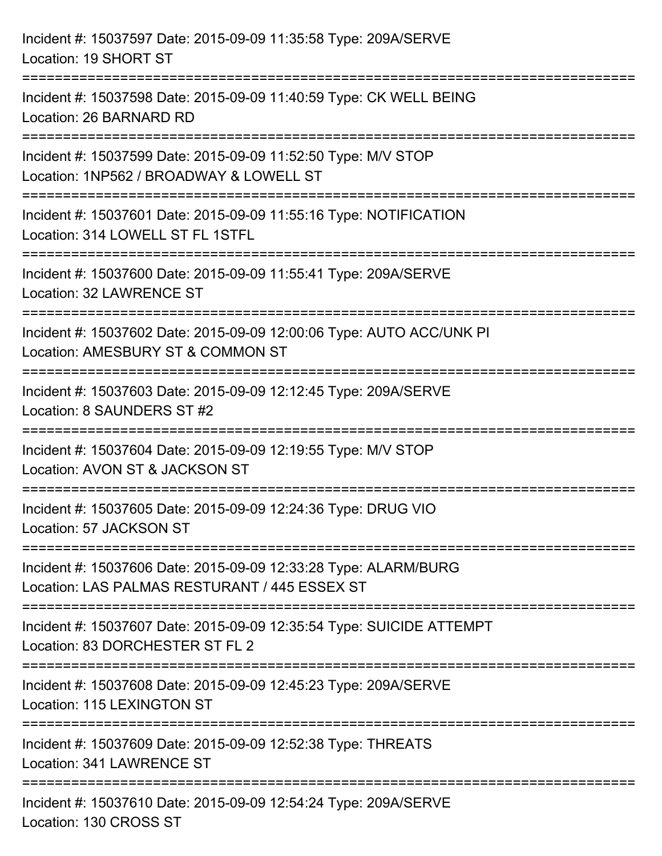| Incident #: 15037597 Date: 2015-09-09 11:35:58 Type: 209A/SERVE<br>Location: 19 SHORT ST                                                     |
|----------------------------------------------------------------------------------------------------------------------------------------------|
| ===============================<br>Incident #: 15037598 Date: 2015-09-09 11:40:59 Type: CK WELL BEING<br>Location: 26 BARNARD RD             |
| Incident #: 15037599 Date: 2015-09-09 11:52:50 Type: M/V STOP<br>Location: 1NP562 / BROADWAY & LOWELL ST<br>================================ |
| Incident #: 15037601 Date: 2015-09-09 11:55:16 Type: NOTIFICATION<br>Location: 314 LOWELL ST FL 1STFL                                        |
| Incident #: 15037600 Date: 2015-09-09 11:55:41 Type: 209A/SERVE<br>Location: 32 LAWRENCE ST<br>----------------------------------            |
| Incident #: 15037602 Date: 2015-09-09 12:00:06 Type: AUTO ACC/UNK PI<br>Location: AMESBURY ST & COMMON ST                                    |
| Incident #: 15037603 Date: 2015-09-09 12:12:45 Type: 209A/SERVE<br>Location: 8 SAUNDERS ST #2                                                |
| Incident #: 15037604 Date: 2015-09-09 12:19:55 Type: M/V STOP<br>Location: AVON ST & JACKSON ST                                              |
| Incident #: 15037605 Date: 2015-09-09 12:24:36 Type: DRUG VIO<br>Location: 57 JACKSON ST                                                     |
| Incident #: 15037606 Date: 2015-09-09 12:33:28 Type: ALARM/BURG<br>Location: LAS PALMAS RESTURANT / 445 ESSEX ST                             |
| Incident #: 15037607 Date: 2015-09-09 12:35:54 Type: SUICIDE ATTEMPT<br>Location: 83 DORCHESTER ST FL 2                                      |
| Incident #: 15037608 Date: 2015-09-09 12:45:23 Type: 209A/SERVE<br>Location: 115 LEXINGTON ST                                                |
| Incident #: 15037609 Date: 2015-09-09 12:52:38 Type: THREATS<br>Location: 341 LAWRENCE ST                                                    |
| Incident #: 15037610 Date: 2015-09-09 12:54:24 Type: 209A/SERVE<br>Location: 130 CROSS ST                                                    |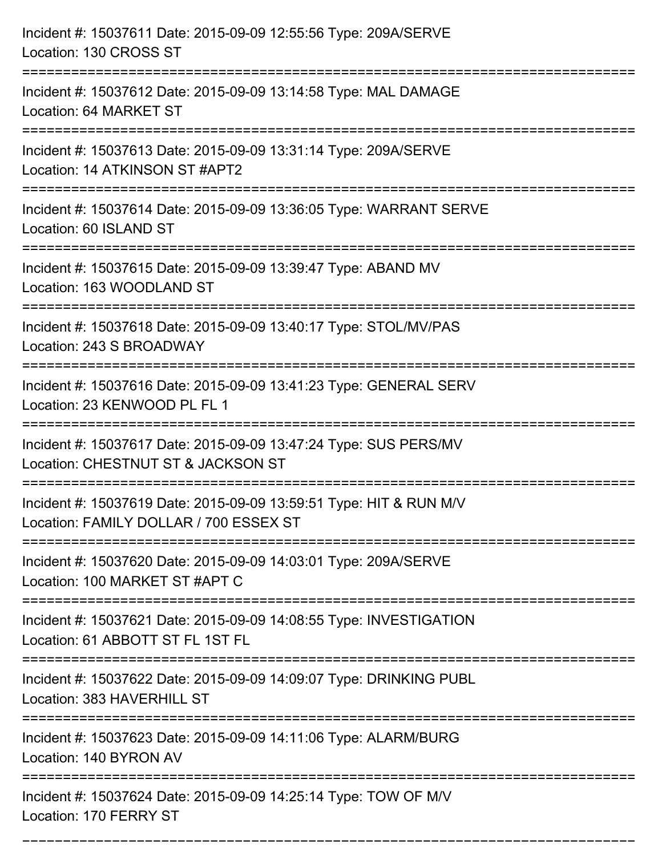| Incident #: 15037611 Date: 2015-09-09 12:55:56 Type: 209A/SERVE<br>Location: 130 CROSS ST                                |
|--------------------------------------------------------------------------------------------------------------------------|
| Incident #: 15037612 Date: 2015-09-09 13:14:58 Type: MAL DAMAGE<br>Location: 64 MARKET ST                                |
| Incident #: 15037613 Date: 2015-09-09 13:31:14 Type: 209A/SERVE<br>Location: 14 ATKINSON ST #APT2                        |
| Incident #: 15037614 Date: 2015-09-09 13:36:05 Type: WARRANT SERVE<br>Location: 60 ISLAND ST                             |
| Incident #: 15037615 Date: 2015-09-09 13:39:47 Type: ABAND MV<br>Location: 163 WOODLAND ST                               |
| Incident #: 15037618 Date: 2015-09-09 13:40:17 Type: STOL/MV/PAS<br>Location: 243 S BROADWAY                             |
| Incident #: 15037616 Date: 2015-09-09 13:41:23 Type: GENERAL SERV<br>Location: 23 KENWOOD PL FL 1<br>=================== |
| Incident #: 15037617 Date: 2015-09-09 13:47:24 Type: SUS PERS/MV<br>Location: CHESTNUT ST & JACKSON ST                   |
| Incident #: 15037619 Date: 2015-09-09 13:59:51 Type: HIT & RUN M/V<br>Location: FAMILY DOLLAR / 700 ESSEX ST             |
| Incident #: 15037620 Date: 2015-09-09 14:03:01 Type: 209A/SERVE<br>Location: 100 MARKET ST #APT C                        |
| Incident #: 15037621 Date: 2015-09-09 14:08:55 Type: INVESTIGATION<br>Location: 61 ABBOTT ST FL 1ST FL                   |
| Incident #: 15037622 Date: 2015-09-09 14:09:07 Type: DRINKING PUBL<br>Location: 383 HAVERHILL ST                         |
| Incident #: 15037623 Date: 2015-09-09 14:11:06 Type: ALARM/BURG<br>Location: 140 BYRON AV                                |
| Incident #: 15037624 Date: 2015-09-09 14:25:14 Type: TOW OF M/V<br>Location: 170 FERRY ST                                |

===========================================================================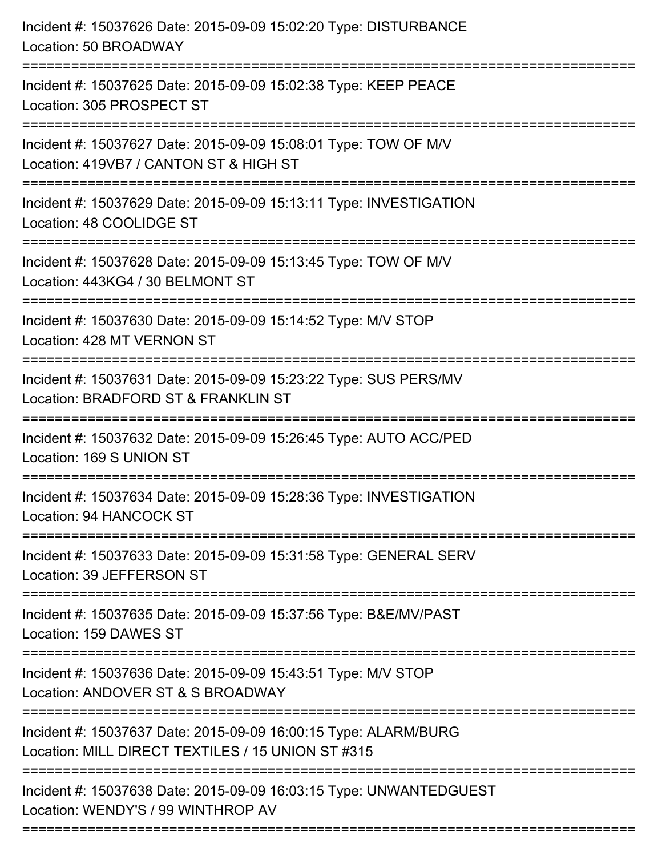| Incident #: 15037626 Date: 2015-09-09 15:02:20 Type: DISTURBANCE<br>Location: 50 BROADWAY<br>================================          |
|----------------------------------------------------------------------------------------------------------------------------------------|
| Incident #: 15037625 Date: 2015-09-09 15:02:38 Type: KEEP PEACE<br>Location: 305 PROSPECT ST                                           |
| Incident #: 15037627 Date: 2015-09-09 15:08:01 Type: TOW OF M/V<br>Location: 419VB7 / CANTON ST & HIGH ST<br>:======================== |
| Incident #: 15037629 Date: 2015-09-09 15:13:11 Type: INVESTIGATION<br>Location: 48 COOLIDGE ST<br>--------------                       |
| Incident #: 15037628 Date: 2015-09-09 15:13:45 Type: TOW OF M/V<br>Location: 443KG4 / 30 BELMONT ST                                    |
| Incident #: 15037630 Date: 2015-09-09 15:14:52 Type: M/V STOP<br>Location: 428 MT VERNON ST<br>======================================  |
| Incident #: 15037631 Date: 2015-09-09 15:23:22 Type: SUS PERS/MV<br>Location: BRADFORD ST & FRANKLIN ST                                |
| Incident #: 15037632 Date: 2015-09-09 15:26:45 Type: AUTO ACC/PED<br>Location: 169 S UNION ST                                          |
| Incident #: 15037634 Date: 2015-09-09 15:28:36 Type: INVESTIGATION<br>Location: 94 HANCOCK ST                                          |
| Incident #: 15037633 Date: 2015-09-09 15:31:58 Type: GENERAL SERV<br>Location: 39 JEFFERSON ST                                         |
| Incident #: 15037635 Date: 2015-09-09 15:37:56 Type: B&E/MV/PAST<br>Location: 159 DAWES ST                                             |
| Incident #: 15037636 Date: 2015-09-09 15:43:51 Type: M/V STOP<br>Location: ANDOVER ST & S BROADWAY                                     |
| Incident #: 15037637 Date: 2015-09-09 16:00:15 Type: ALARM/BURG<br>Location: MILL DIRECT TEXTILES / 15 UNION ST #315                   |
| Incident #: 15037638 Date: 2015-09-09 16:03:15 Type: UNWANTEDGUEST<br>Location: WENDY'S / 99 WINTHROP AV                               |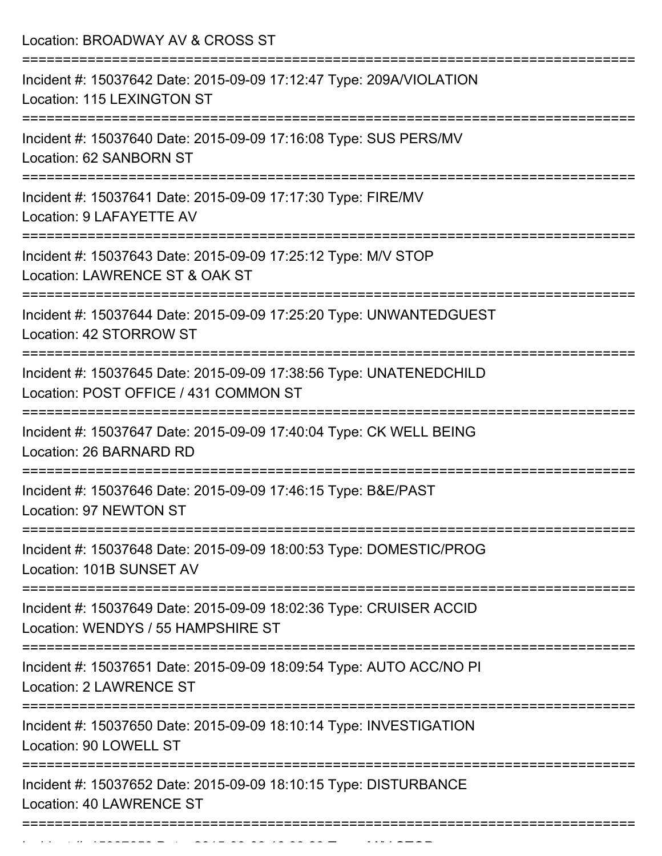| Location: BROADWAY AV & CROSS ST                                                                                                       |
|----------------------------------------------------------------------------------------------------------------------------------------|
| Incident #: 15037642 Date: 2015-09-09 17:12:47 Type: 209A/VIOLATION<br>Location: 115 LEXINGTON ST                                      |
| Incident #: 15037640 Date: 2015-09-09 17:16:08 Type: SUS PERS/MV<br>Location: 62 SANBORN ST                                            |
| Incident #: 15037641 Date: 2015-09-09 17:17:30 Type: FIRE/MV<br>Location: 9 LAFAYETTE AV                                               |
| Incident #: 15037643 Date: 2015-09-09 17:25:12 Type: M/V STOP<br>Location: LAWRENCE ST & OAK ST                                        |
| Incident #: 15037644 Date: 2015-09-09 17:25:20 Type: UNWANTEDGUEST<br>Location: 42 STORROW ST                                          |
| Incident #: 15037645 Date: 2015-09-09 17:38:56 Type: UNATENEDCHILD<br>Location: POST OFFICE / 431 COMMON ST<br>:====================== |
| Incident #: 15037647 Date: 2015-09-09 17:40:04 Type: CK WELL BEING<br>Location: 26 BARNARD RD                                          |
| Incident #: 15037646 Date: 2015-09-09 17:46:15 Type: B&E/PAST<br>Location: 97 NEWTON ST                                                |
| Incident #: 15037648 Date: 2015-09-09 18:00:53 Type: DOMESTIC/PROG<br>Location: 101B SUNSET AV                                         |
| Incident #: 15037649 Date: 2015-09-09 18:02:36 Type: CRUISER ACCID<br>Location: WENDYS / 55 HAMPSHIRE ST                               |
| Incident #: 15037651 Date: 2015-09-09 18:09:54 Type: AUTO ACC/NO PI<br><b>Location: 2 LAWRENCE ST</b>                                  |
| Incident #: 15037650 Date: 2015-09-09 18:10:14 Type: INVESTIGATION<br>Location: 90 LOWELL ST                                           |
| Incident #: 15037652 Date: 2015-09-09 18:10:15 Type: DISTURBANCE<br><b>Location: 40 LAWRENCE ST</b>                                    |

Incident #: 1503763 Date: 2015 09 18:39:23 Type: M/V STOP: M/V STOP:<br>.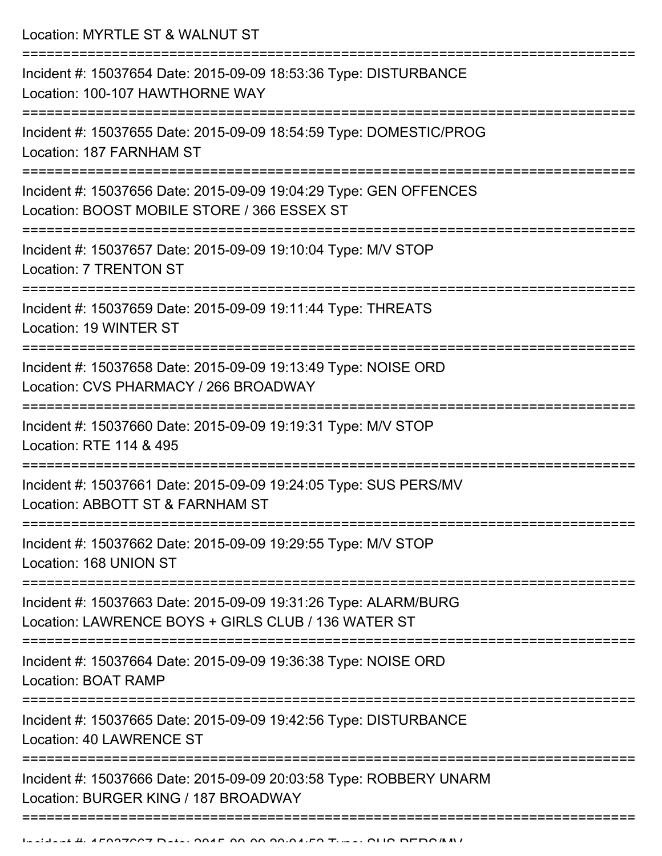Location: MYRTLE ST & WALNUT ST

| Incident #: 15037654 Date: 2015-09-09 18:53:36 Type: DISTURBANCE<br>Location: 100-107 HAWTHORNE WAY                    |
|------------------------------------------------------------------------------------------------------------------------|
| Incident #: 15037655 Date: 2015-09-09 18:54:59 Type: DOMESTIC/PROG<br>Location: 187 FARNHAM ST                         |
| Incident #: 15037656 Date: 2015-09-09 19:04:29 Type: GEN OFFENCES<br>Location: BOOST MOBILE STORE / 366 ESSEX ST       |
| Incident #: 15037657 Date: 2015-09-09 19:10:04 Type: M/V STOP<br><b>Location: 7 TRENTON ST</b>                         |
| Incident #: 15037659 Date: 2015-09-09 19:11:44 Type: THREATS<br>Location: 19 WINTER ST                                 |
| Incident #: 15037658 Date: 2015-09-09 19:13:49 Type: NOISE ORD<br>Location: CVS PHARMACY / 266 BROADWAY                |
| Incident #: 15037660 Date: 2015-09-09 19:19:31 Type: M/V STOP<br>Location: RTE 114 & 495                               |
| Incident #: 15037661 Date: 2015-09-09 19:24:05 Type: SUS PERS/MV<br>Location: ABBOTT ST & FARNHAM ST                   |
| Incident #: 15037662 Date: 2015-09-09 19:29:55 Type: M/V STOP<br>Location: 168 UNION ST                                |
| Incident #: 15037663 Date: 2015-09-09 19:31:26 Type: ALARM/BURG<br>Location: LAWRENCE BOYS + GIRLS CLUB / 136 WATER ST |
| Incident #: 15037664 Date: 2015-09-09 19:36:38 Type: NOISE ORD<br>Location: BOAT RAMP                                  |
| Incident #: 15037665 Date: 2015-09-09 19:42:56 Type: DISTURBANCE<br><b>Location: 40 LAWRENCE ST</b>                    |
| Incident #: 15037666 Date: 2015-09-09 20:03:58 Type: ROBBERY UNARM<br>Location: BURGER KING / 187 BROADWAY             |
|                                                                                                                        |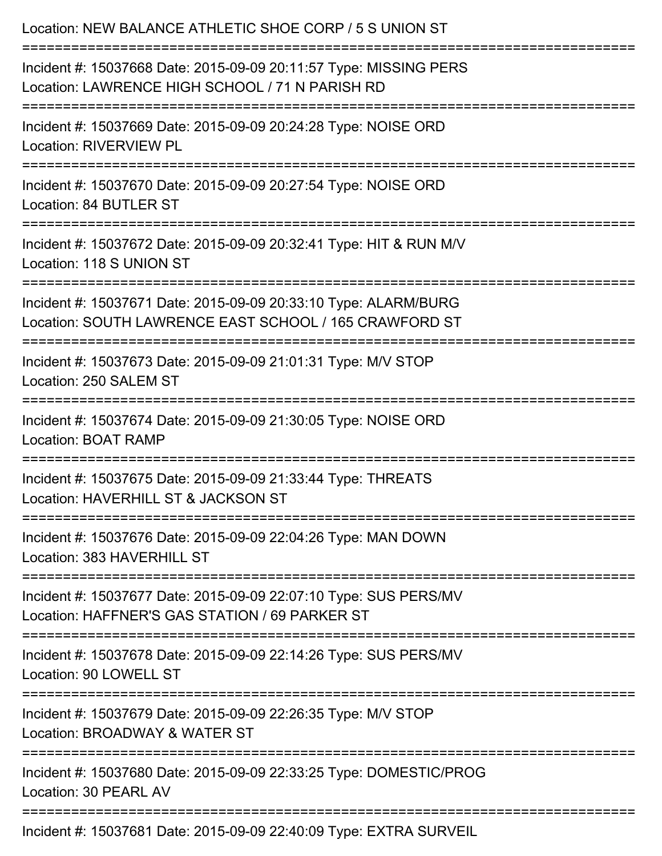| Location: NEW BALANCE ATHLETIC SHOE CORP / 5 S UNION ST                                                                                               |
|-------------------------------------------------------------------------------------------------------------------------------------------------------|
| Incident #: 15037668 Date: 2015-09-09 20:11:57 Type: MISSING PERS<br>Location: LAWRENCE HIGH SCHOOL / 71 N PARISH RD                                  |
| :====================<br>================================<br>Incident #: 15037669 Date: 2015-09-09 20:24:28 Type: NOISE ORD<br>Location: RIVERVIEW PL |
| Incident #: 15037670 Date: 2015-09-09 20:27:54 Type: NOISE ORD<br>Location: 84 BUTLER ST                                                              |
| Incident #: 15037672 Date: 2015-09-09 20:32:41 Type: HIT & RUN M/V<br>Location: 118 S UNION ST                                                        |
| Incident #: 15037671 Date: 2015-09-09 20:33:10 Type: ALARM/BURG<br>Location: SOUTH LAWRENCE EAST SCHOOL / 165 CRAWFORD ST                             |
| Incident #: 15037673 Date: 2015-09-09 21:01:31 Type: M/V STOP<br>Location: 250 SALEM ST                                                               |
| Incident #: 15037674 Date: 2015-09-09 21:30:05 Type: NOISE ORD<br>Location: BOAT RAMP                                                                 |
| Incident #: 15037675 Date: 2015-09-09 21:33:44 Type: THREATS<br>Location: HAVERHILL ST & JACKSON ST                                                   |
| Incident #: 15037676 Date: 2015-09-09 22:04:26 Type: MAN DOWN<br>Location: 383 HAVERHILL ST                                                           |
| Incident #: 15037677 Date: 2015-09-09 22:07:10 Type: SUS PERS/MV<br>Location: HAFFNER'S GAS STATION / 69 PARKER ST                                    |
| Incident #: 15037678 Date: 2015-09-09 22:14:26 Type: SUS PERS/MV<br>Location: 90 LOWELL ST                                                            |
| Incident #: 15037679 Date: 2015-09-09 22:26:35 Type: M/V STOP<br>Location: BROADWAY & WATER ST                                                        |
| Incident #: 15037680 Date: 2015-09-09 22:33:25 Type: DOMESTIC/PROG<br>Location: 30 PEARL AV                                                           |
| Incident #: 15037681 Date: 2015-09-09 22:40:09 Type: EXTRA SURVEIL                                                                                    |